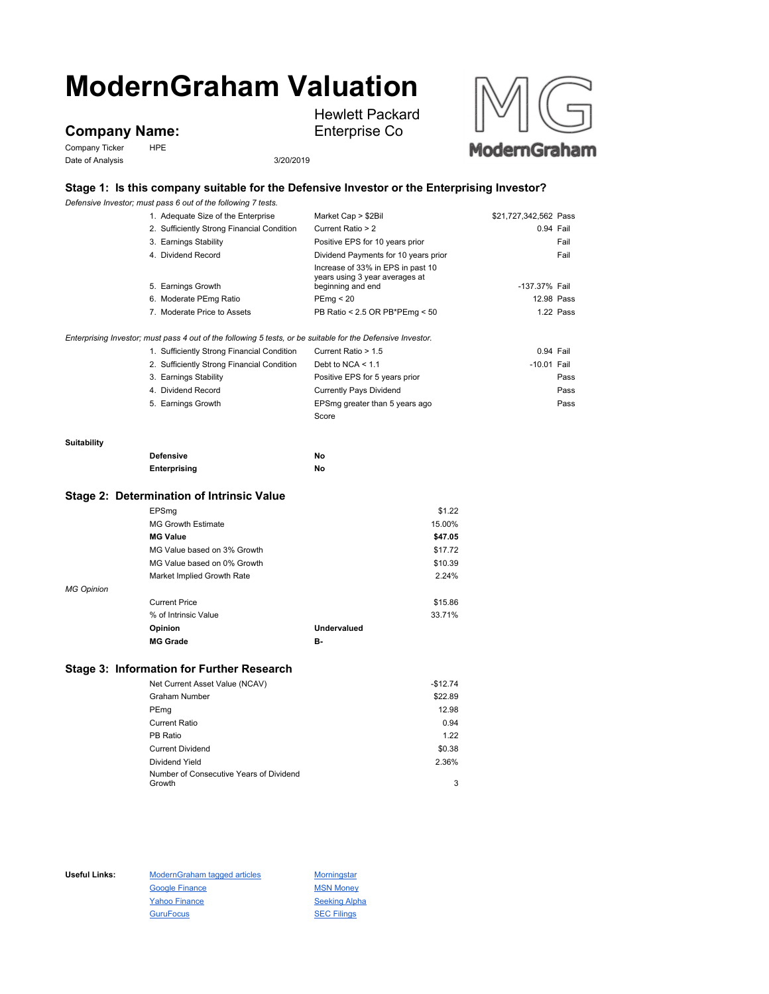# **ModernGraham Valuation**

## **Company Name:**

Company Ticker HPE Date of Analysis 3/20/2019

Hewlett Packard Enterprise Co



## **Stage 1: Is this company suitable for the Defensive Investor or the Enterprising Investor?**

*Defensive Investor; must pass 6 out of the following 7 tests.*

|                   | Delensive investor, must pass 6 out or the rollowing 7 tests.                                               |                                                                     |                       |
|-------------------|-------------------------------------------------------------------------------------------------------------|---------------------------------------------------------------------|-----------------------|
|                   | 1. Adequate Size of the Enterprise                                                                          | Market Cap > \$2Bil                                                 | \$21,727,342,562 Pass |
|                   | 2. Sufficiently Strong Financial Condition                                                                  | Current Ratio > 2                                                   | 0.94 Fail             |
|                   | 3. Earnings Stability                                                                                       | Positive EPS for 10 years prior                                     | Fail                  |
|                   | 4. Dividend Record                                                                                          | Dividend Payments for 10 years prior                                | Fail                  |
|                   |                                                                                                             | Increase of 33% in EPS in past 10<br>years using 3 year averages at |                       |
|                   | 5. Earnings Growth                                                                                          | beginning and end                                                   | -137.37% Fail         |
|                   | 6. Moderate PEmg Ratio                                                                                      | PEmp < 20                                                           | 12.98 Pass            |
|                   | 7. Moderate Price to Assets                                                                                 | PB Ratio < 2.5 OR PB*PEmg < 50                                      | 1.22 Pass             |
|                   | Enterprising Investor; must pass 4 out of the following 5 tests, or be suitable for the Defensive Investor. |                                                                     |                       |
|                   | 1. Sufficiently Strong Financial Condition                                                                  | Current Ratio > 1.5                                                 | 0.94 Fail             |
|                   | 2. Sufficiently Strong Financial Condition                                                                  | Debt to NCA $\leq 1.1$                                              | $-10.01$ Fail         |
|                   | 3. Earnings Stability                                                                                       | Positive EPS for 5 years prior                                      | Pass                  |
|                   | 4. Dividend Record                                                                                          | <b>Currently Pays Dividend</b>                                      | Pass                  |
|                   | 5. Earnings Growth                                                                                          | EPSmg greater than 5 years ago                                      | Pass                  |
|                   |                                                                                                             | Score                                                               |                       |
| Suitability       |                                                                                                             |                                                                     |                       |
|                   | <b>Defensive</b>                                                                                            | No                                                                  |                       |
|                   | Enterprising                                                                                                | No                                                                  |                       |
|                   | Stage 2: Determination of Intrinsic Value                                                                   |                                                                     |                       |
|                   | EPSmg                                                                                                       | \$1.22                                                              |                       |
|                   | <b>MG Growth Estimate</b>                                                                                   | 15.00%                                                              |                       |
|                   | <b>MG Value</b>                                                                                             | \$47.05                                                             |                       |
|                   | MG Value based on 3% Growth                                                                                 | \$17.72                                                             |                       |
|                   | MG Value based on 0% Growth                                                                                 | \$10.39                                                             |                       |
|                   | Market Implied Growth Rate                                                                                  | 2.24%                                                               |                       |
| <b>MG Opinion</b> |                                                                                                             |                                                                     |                       |
|                   | <b>Current Price</b>                                                                                        | \$15.86                                                             |                       |
|                   | % of Intrinsic Value                                                                                        | 33.71%                                                              |                       |

# **Stage 3: Information for Further Research**

| Net Current Asset Value (NCAV)          | $-$12.74$ |
|-----------------------------------------|-----------|
| Graham Number                           | \$22.89   |
| PEmg                                    | 12.98     |
| Current Ratio                           | 0.94      |
| PB Ratio                                | 1.22      |
| <b>Current Dividend</b>                 | \$0.38    |
| Dividend Yield                          | 2.36%     |
| Number of Consecutive Years of Dividend |           |
| Growth                                  | 3         |

**Opinion Undervalued MG Grade B-**

Useful Links: ModernGraham tagged articles Morningstar Google Finance MSN Money Yahoo Finance Seeking Alpha GuruFocus **SEC Filings**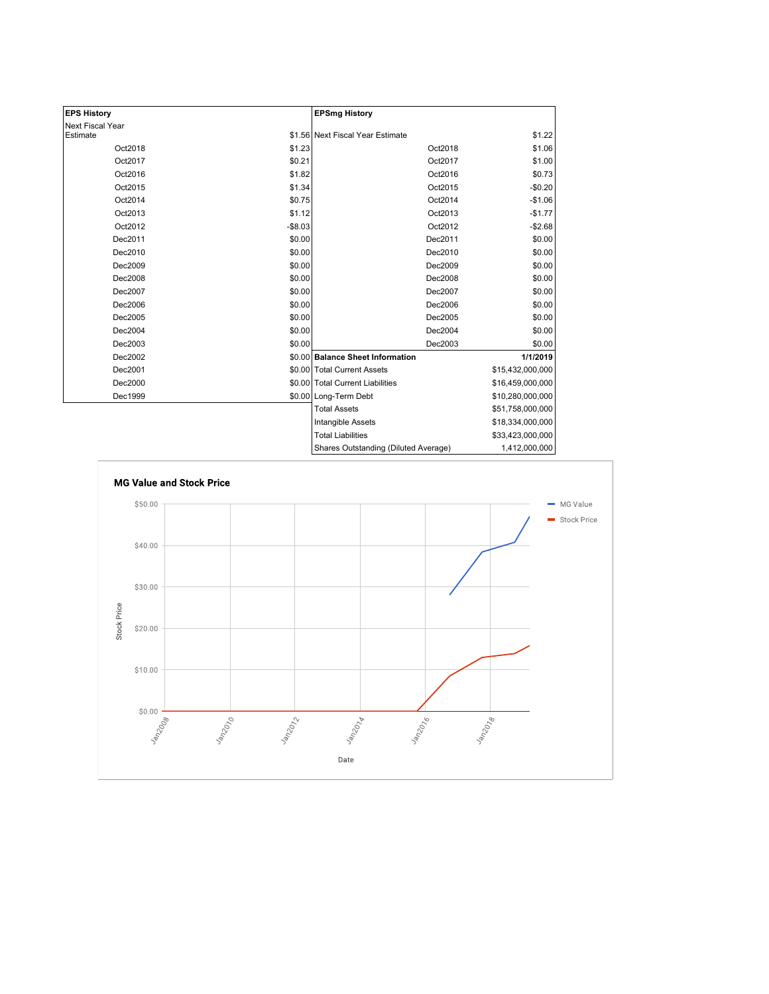| <b>EPS History</b>      |          | <b>EPSmg History</b>                 |                  |
|-------------------------|----------|--------------------------------------|------------------|
| <b>Next Fiscal Year</b> |          |                                      |                  |
| Estimate                |          | \$1.56 Next Fiscal Year Estimate     | \$1.22           |
| Oct2018                 | \$1.23   | Oct2018                              | \$1.06           |
| Oct2017                 | \$0.21   | Oct2017                              | \$1.00           |
| Oct2016                 | \$1.82   | Oct2016                              | \$0.73           |
| Oct2015                 | \$1.34   | Oct2015                              | $-$0.20$         |
| Oct2014                 | \$0.75   | Oct2014                              | $-$1.06$         |
| Oct2013                 | \$1.12   | Oct2013                              | $-$1.77$         |
| Oct2012                 | $-$8.03$ | Oct2012                              | $-$2.68$         |
| Dec2011                 | \$0.00   | Dec2011                              | \$0.00           |
| Dec2010                 | \$0.00   | Dec2010                              | \$0.00           |
| Dec2009                 | \$0.00   | Dec2009                              | \$0.00           |
| Dec2008                 | \$0.00   | Dec2008                              | \$0.00           |
| Dec2007                 | \$0.00   | Dec2007                              | \$0.00           |
| Dec2006                 | \$0.00   | Dec2006                              | \$0.00           |
| Dec2005                 | \$0.00   | Dec2005                              | \$0.00           |
| Dec2004                 | \$0.00   | Dec2004                              | \$0.00           |
| Dec2003                 | \$0.00   | Dec2003                              | \$0.00           |
| Dec2002                 |          | \$0.00 Balance Sheet Information     | 1/1/2019         |
| Dec2001                 |          | \$0.00 Total Current Assets          | \$15,432,000,000 |
| Dec2000                 |          | \$0.00 Total Current Liabilities     | \$16,459,000,000 |
| Dec1999                 |          | \$0.00 Long-Term Debt                | \$10,280,000,000 |
|                         |          | <b>Total Assets</b>                  | \$51,758,000,000 |
|                         |          | <b>Intangible Assets</b>             | \$18,334,000,000 |
|                         |          | <b>Total Liabilities</b>             | \$33,423,000,000 |
|                         |          | Shares Outstanding (Diluted Average) | 1,412,000,000    |